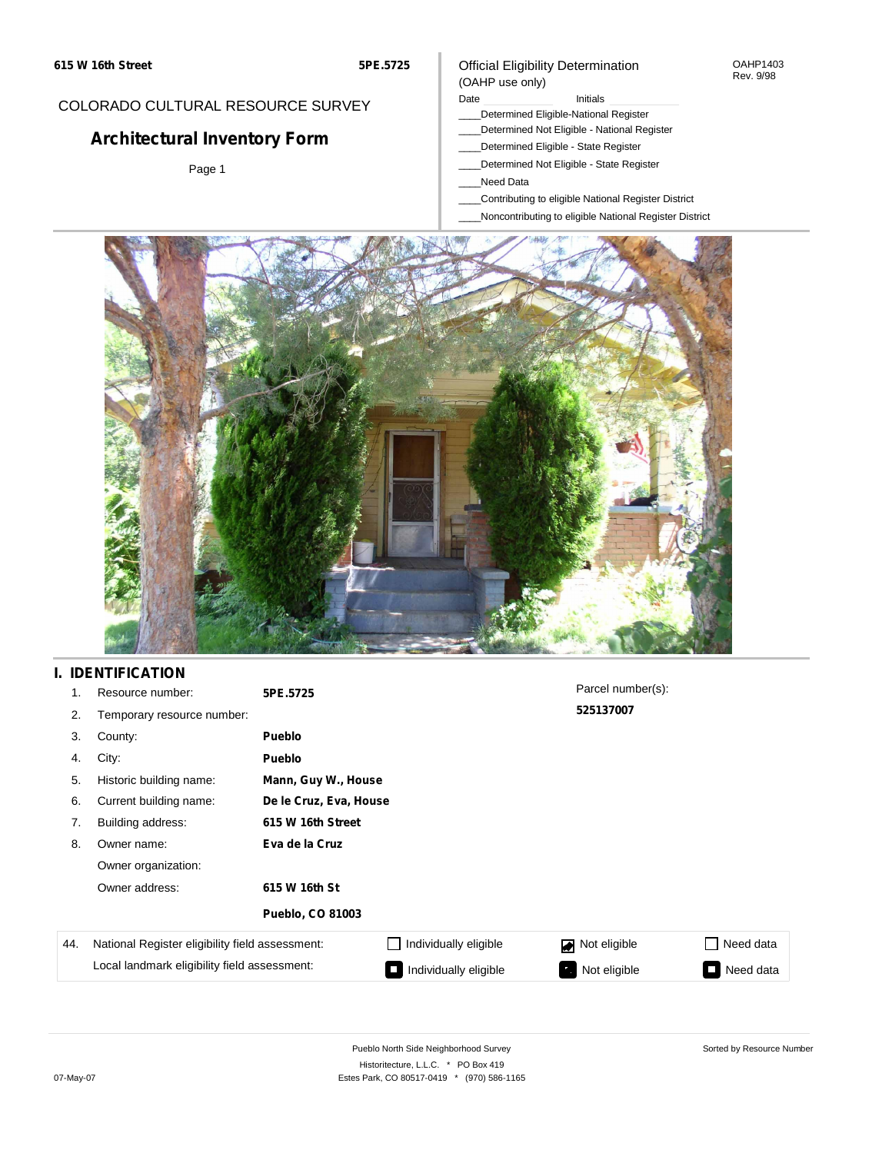### COLORADO CULTURAL RESOURCE SURVEY

# **Architectural Inventory Form**

Page 1

### Official Eligibility Determination (OAHP use only)

Date **Initials** Initials

- \_\_\_\_Determined Eligible-National Register
- \_\_\_\_Determined Not Eligible National Register
- \_\_\_\_Determined Eligible State Register
- \_\_\_\_Determined Not Eligible State Register
- \_\_\_\_Need Data
- \_\_\_\_Contributing to eligible National Register District
- \_\_\_\_Noncontributing to eligible National Register District



## **I. IDENTIFICATION**

| 1.  | Resource number:                                | 5PE.5725                |                        | Parcel number(s): |           |  |  |  |
|-----|-------------------------------------------------|-------------------------|------------------------|-------------------|-----------|--|--|--|
| 2.  | Temporary resource number:                      |                         |                        | 525137007         |           |  |  |  |
| 3.  | County:                                         | <b>Pueblo</b>           |                        |                   |           |  |  |  |
| 4.  | City:                                           | <b>Pueblo</b>           |                        |                   |           |  |  |  |
| 5.  | Historic building name:                         |                         | Mann, Guy W., House    |                   |           |  |  |  |
| 6.  | Current building name:                          |                         | De le Cruz, Eva, House |                   |           |  |  |  |
| 7.  | Building address:                               | 615 W 16th Street       |                        |                   |           |  |  |  |
| 8.  | Owner name:                                     | Eva de la Cruz          |                        |                   |           |  |  |  |
|     | Owner organization:                             |                         |                        |                   |           |  |  |  |
|     | Owner address:                                  | 615 W 16th St           |                        |                   |           |  |  |  |
|     |                                                 | <b>Pueblo, CO 81003</b> |                        |                   |           |  |  |  |
| 44. | National Register eligibility field assessment: |                         | Individually eligible  | Not eligible<br>◪ | Need data |  |  |  |
|     | Local landmark eligibility field assessment:    |                         | Individually eligible  | Not eligible      | Need data |  |  |  |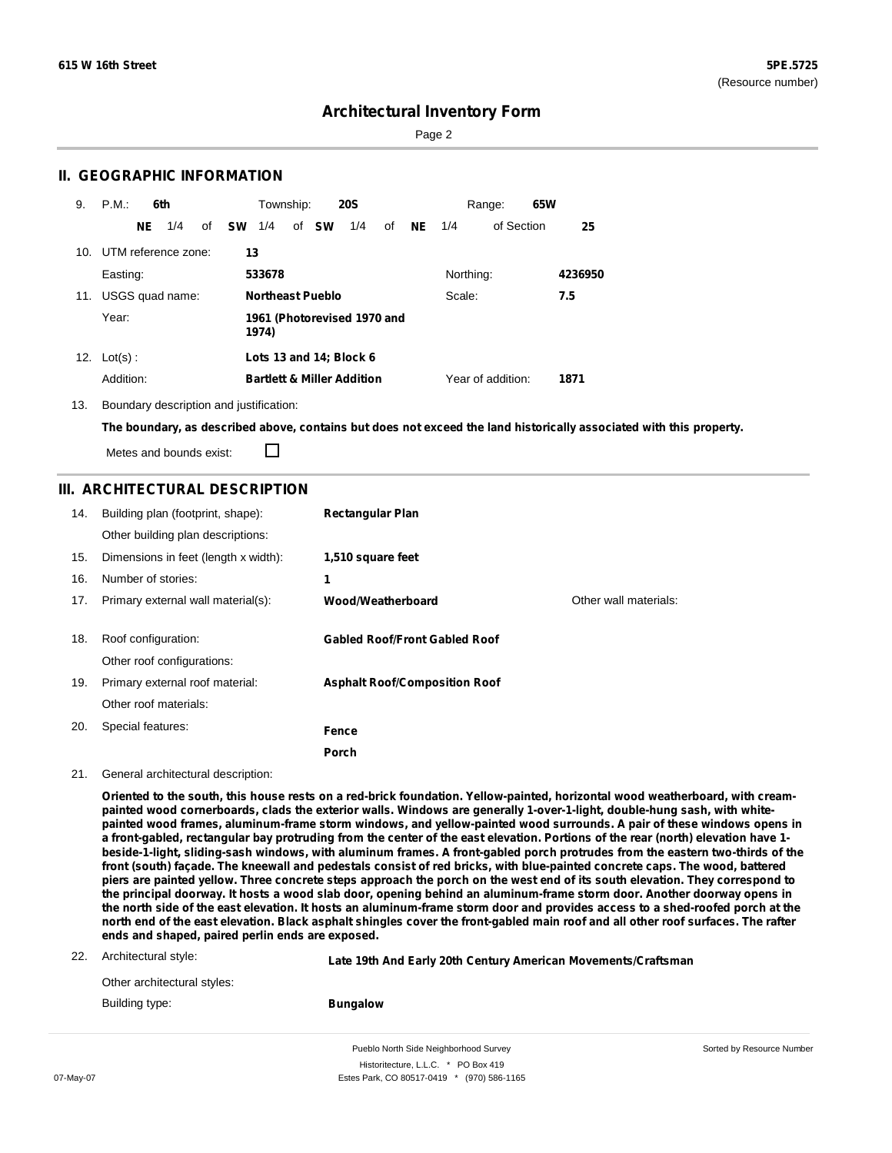Sorted by Resource Number

## **Architectural Inventory Form**

Page 2

### **II. GEOGRAPHIC INFORMATION**

| 9.  | P.M.                    |     | 6th |    |      | Township: |                         | <b>20S</b>                            |    |           |           | Range:            | 65W |         |
|-----|-------------------------|-----|-----|----|------|-----------|-------------------------|---------------------------------------|----|-----------|-----------|-------------------|-----|---------|
|     |                         | NE. | 1/4 | of | – SW | 1/4       | of <b>SW</b>            | 1/4                                   | οf | <b>NE</b> | 1/4       | of Section        |     | 25      |
|     | 10. UTM reference zone: |     |     |    | 13   |           |                         |                                       |    |           |           |                   |     |         |
|     | Easting:                |     |     |    |      | 533678    |                         |                                       |    |           | Northing: |                   |     | 4236950 |
| 11. | USGS quad name:         |     |     |    |      |           | <b>Northeast Pueblo</b> |                                       |    |           | Scale:    |                   |     | 7.5     |
|     | Year:                   |     |     |    |      | 1974)     |                         | 1961 (Photorevised 1970 and           |    |           |           |                   |     |         |
|     | 12. $Lot(s)$ :          |     |     |    |      |           |                         | Lots 13 and 14; Block 6               |    |           |           |                   |     |         |
|     | Addition:               |     |     |    |      |           |                         | <b>Bartlett &amp; Miller Addition</b> |    |           |           | Year of addition: |     | 1871    |

13. Boundary description and justification:

The boundary, as described above, contains but does not exceed the land historically associated with this property.

Metes and bounds exist:

П

### **III. ARCHITECTURAL DESCRIPTION**

| 14. | Building plan (footprint, shape):<br>Other building plan descriptions: | <b>Rectangular Plan</b>              |                       |
|-----|------------------------------------------------------------------------|--------------------------------------|-----------------------|
| 15. | Dimensions in feet (length x width):                                   | 1,510 square feet                    |                       |
| 16. | Number of stories:                                                     | 1                                    |                       |
| 17. | Primary external wall material(s):                                     | Wood/Weatherboard                    | Other wall materials: |
|     |                                                                        |                                      |                       |
| 18. | Roof configuration:                                                    | <b>Gabled Roof/Front Gabled Roof</b> |                       |
|     | Other roof configurations:                                             |                                      |                       |
| 19. | Primary external roof material:                                        | <b>Asphalt Roof/Composition Roof</b> |                       |
|     | Other roof materials:                                                  |                                      |                       |
| 20. | Special features:                                                      | Fence                                |                       |
|     |                                                                        | Porch                                |                       |

### 21. General architectural description:

Oriented to the south, this house rests on a red-brick foundation. Yellow-painted, horizontal wood weatherboard, with creampainted wood cornerboards, clads the exterior walls. Windows are generally 1-over-1-light, double-hung sash, with whitepainted wood frames, aluminum-frame storm windows, and yellow-painted wood surrounds. A pair of these windows opens in a front-gabled, rectangular bay protruding from the center of the east elevation. Portions of the rear (north) elevation have 1beside-1-light, sliding-sash windows, with aluminum frames. A front-gabled porch protrudes from the eastern two-thirds of the front (south) façade. The kneewall and pedestals consist of red bricks, with blue-painted concrete caps. The wood, battered piers are painted yellow. Three concrete steps approach the porch on the west end of its south elevation. They correspond to the principal doorway. It hosts a wood slab door, opening behind an aluminum-frame storm door. Another doorway opens in the north side of the east elevation. It hosts an aluminum-frame storm door and provides access to a shed-roofed porch at the north end of the east elevation. Black asphalt shingles cover the front-gabled main roof and all other roof surfaces. The rafter **ends and shaped, paired perlin ends are exposed.**

| 22. | Architectural style: |  |
|-----|----------------------|--|
|-----|----------------------|--|

| AIGHTECHTE.                 | Late 19th And Early 20th Century American Movements/Craftsman |
|-----------------------------|---------------------------------------------------------------|
| Other architectural styles: |                                                               |

**Bungalow**

Building type:

Pueblo North Side Neighborhood Survey Historitecture, L.L.C. \* PO Box 419 07-May-07 **Estes Park, CO 80517-0419** \* (970) 586-1165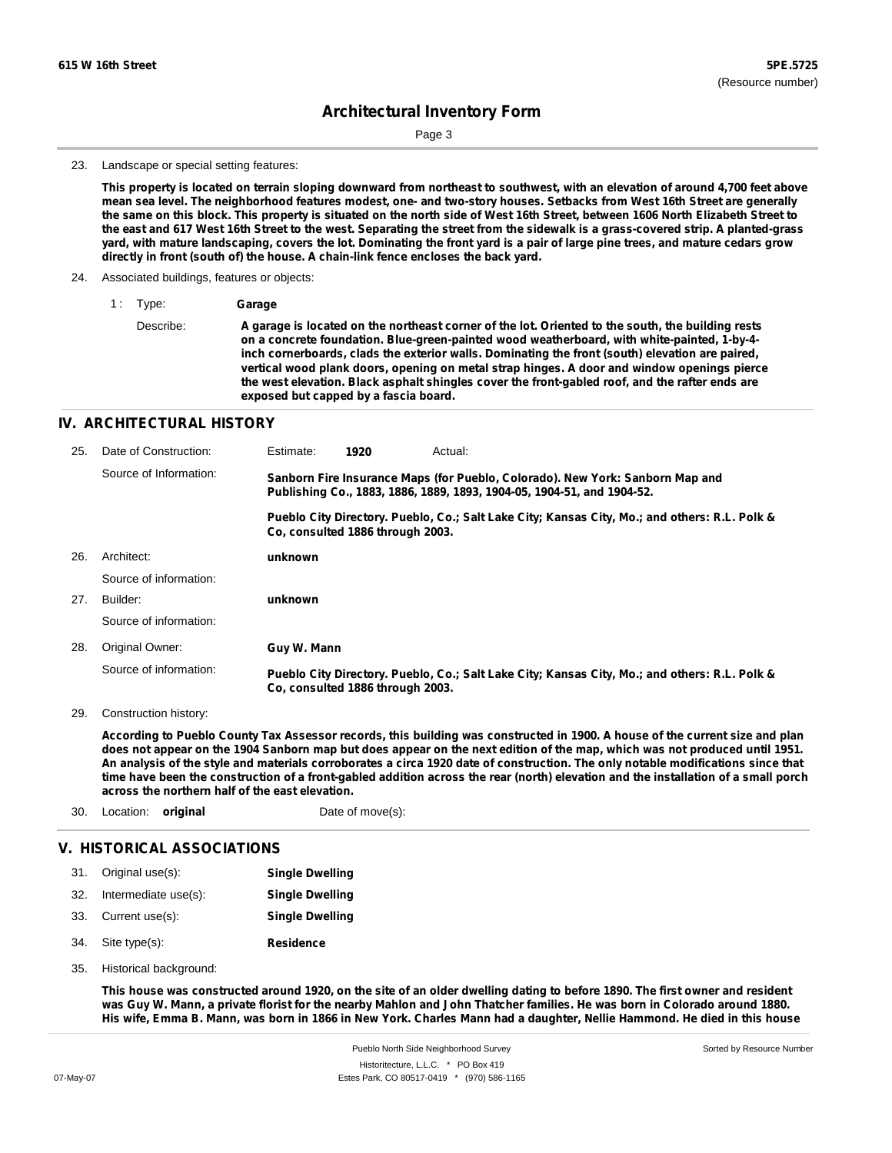Sorted by Resource Number

## **Architectural Inventory Form**

Page 3

#### 23. Landscape or special setting features:

This property is located on terrain sloping downward from northeast to southwest, with an elevation of around 4,700 feet above mean sea level. The neighborhood features modest, one- and two-story houses. Setbacks from West 16th Street are generally the same on this block. This property is situated on the north side of West 16th Street, between 1606 North Elizabeth Street to the east and 617 West 16th Street to the west. Separating the street from the sidewalk is a grass-covered strip. A planted-grass yard, with mature landscaping, covers the lot. Dominating the front yard is a pair of large pine trees, and mature cedars grow **directly in front (south of) the house. A chain-link fence encloses the back yard.**

- 24. Associated buildings, features or objects:
	- 1 : Type: **Garage**

Describe: A garage is located on the northeast corner of the lot. Oriented to the south, the building rests **on a concrete foundation. Blue-green-painted wood weatherboard, with white-painted, 1-by-4 inch cornerboards, clads the exterior walls. Dominating the front (south) elevation are paired, vertical wood plank doors, opening on metal strap hinges. A door and window openings pierce the west elevation. Black asphalt shingles cover the front-gabled roof, and the rafter ends are exposed but capped by a fascia board.**

### **IV. ARCHITECTURAL HISTORY**

| 25. | Date of Construction:  | Estimate:   | 1920                             | Actual:                                                                                                                                                 |
|-----|------------------------|-------------|----------------------------------|---------------------------------------------------------------------------------------------------------------------------------------------------------|
|     | Source of Information: |             |                                  | Sanborn Fire Insurance Maps (for Pueblo, Colorado). New York: Sanborn Map and<br>Publishing Co., 1883, 1886, 1889, 1893, 1904-05, 1904-51, and 1904-52. |
|     |                        |             | Co. consulted 1886 through 2003. | Pueblo City Directory. Pueblo, Co.; Salt Lake City; Kansas City, Mo.; and others: R.L. Polk &                                                           |
| 26. | Architect:             | unknown     |                                  |                                                                                                                                                         |
|     | Source of information: |             |                                  |                                                                                                                                                         |
| 27. | Builder:               | unknown     |                                  |                                                                                                                                                         |
|     | Source of information: |             |                                  |                                                                                                                                                         |
| 28. | Original Owner:        | Guy W. Mann |                                  |                                                                                                                                                         |
|     | Source of information: |             | Co. consulted 1886 through 2003. | Pueblo City Directory. Pueblo, Co.; Salt Lake City; Kansas City, Mo.; and others: R.L. Polk &                                                           |

29. Construction history:

According to Pueblo County Tax Assessor records, this building was constructed in 1900. A house of the current size and plan does not appear on the 1904 Sanborn map but does appear on the next edition of the map, which was not produced until 1951. An analysis of the style and materials corroborates a circa 1920 date of construction. The only notable modifications since that time have been the construction of a front-gabled addition across the rear (north) elevation and the installation of a small porch **across the northern half of the east elevation.**

| 30. | Location: <b>original</b> |                            | Date of move(s):       |  |
|-----|---------------------------|----------------------------|------------------------|--|
|     |                           | V. HISTORICAL ASSOCIATIONS |                        |  |
|     | 31. Original use(s):      |                            | <b>Single Dwelling</b> |  |

|     |                      | ---------------        |
|-----|----------------------|------------------------|
| 32. | Intermediate use(s): | <b>Single Dwelling</b> |
|     | 33. Current use(s):  | <b>Single Dwelling</b> |
| 34. | Site type(s):        | <b>Residence</b>       |

35. Historical background:

This house was constructed around 1920, on the site of an older dwelling dating to before 1890. The first owner and resident was Guy W. Mann, a private florist for the nearby Mahlon and John Thatcher families. He was born in Colorado around 1880. His wife, Emma B. Mann, was born in 1866 in New York. Charles Mann had a daughter, Nellie Hammond. He died in this house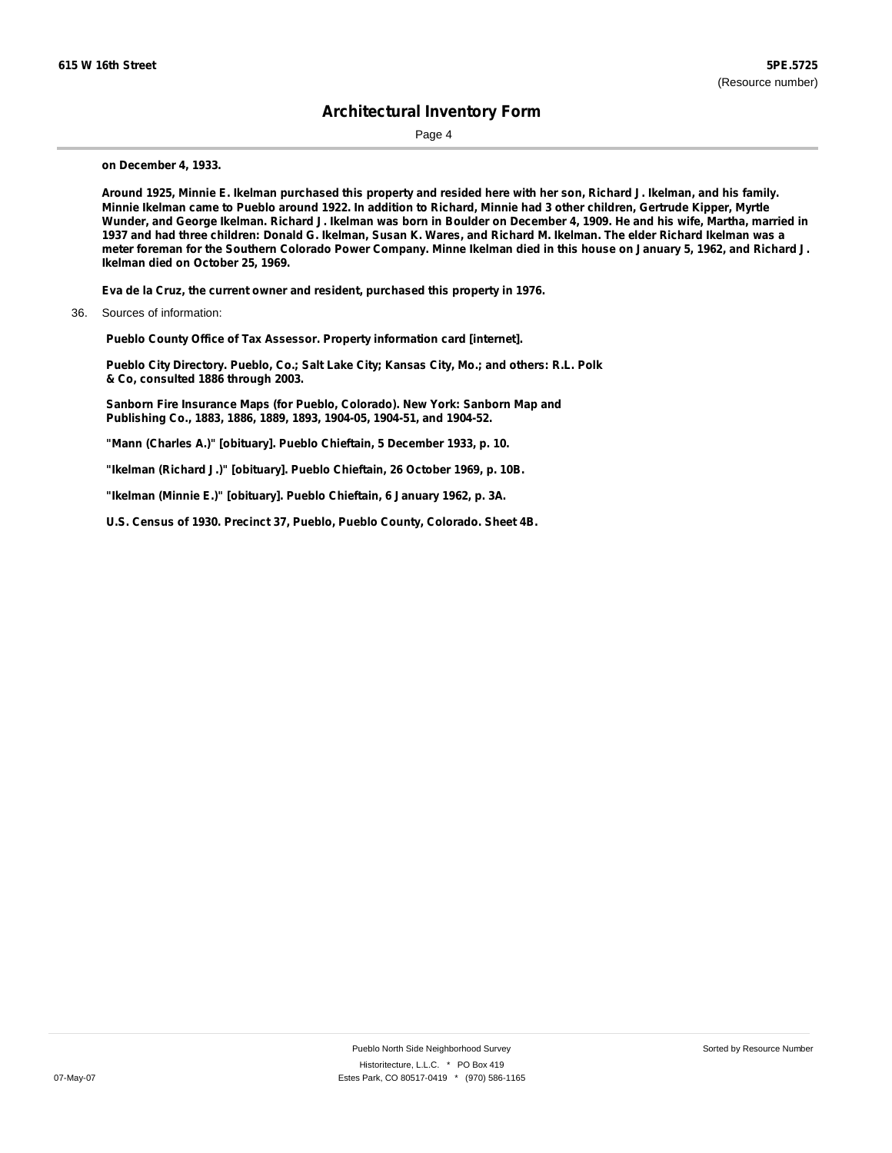Page 4

**on December 4, 1933.**

Around 1925, Minnie E. Ikelman purchased this property and resided here with her son, Richard J. Ikelman, and his family. Minnie Ikelman came to Pueblo around 1922. In addition to Richard, Minnie had 3 other children, Gertrude Kipper, Myrtle Wunder, and George Ikelman. Richard J. Ikelman was born in Boulder on December 4, 1909. He and his wife, Martha, married in 1937 and had three children: Donald G. Ikelman, Susan K. Wares, and Richard M. Ikelman. The elder Richard Ikelman was a meter foreman for the Southern Colorado Power Company. Minne Ikelman died in this house on January 5, 1962, and Richard J. **Ikelman died on October 25, 1969.**

**Eva de la Cruz, the current owner and resident, purchased this property in 1976.**

36. Sources of information:

**Pueblo County Office of Tax Assessor. Property information card [internet].**

**Pueblo City Directory. Pueblo, Co.; Salt Lake City; Kansas City, Mo.; and others: R.L. Polk & Co, consulted 1886 through 2003.**

**Sanborn Fire Insurance Maps (for Pueblo, Colorado). New York: Sanborn Map and Publishing Co., 1883, 1886, 1889, 1893, 1904-05, 1904-51, and 1904-52.**

**"Mann (Charles A.)" [obituary]. Pueblo Chieftain, 5 December 1933, p. 10.**

**"Ikelman (Richard J.)" [obituary]. Pueblo Chieftain, 26 October 1969, p. 10B.**

**"Ikelman (Minnie E.)" [obituary]. Pueblo Chieftain, 6 January 1962, p. 3A.**

**U.S. Census of 1930. Precinct 37, Pueblo, Pueblo County, Colorado. Sheet 4B.**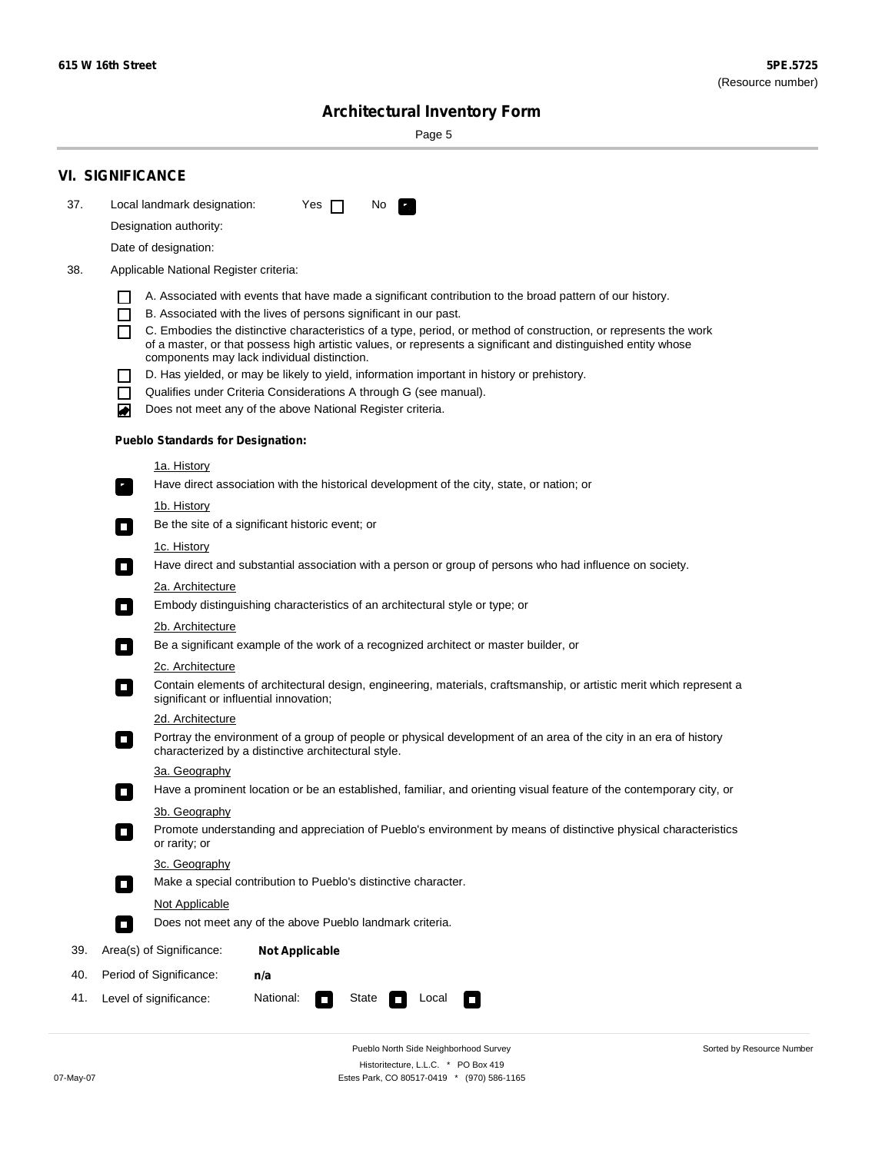Sorted by Resource Number

# **Architectural Inventory Form**

Page 5

|     | <b>VI. SIGNIFICANCE</b>                                                                                                                                                                        |  |  |  |  |  |
|-----|------------------------------------------------------------------------------------------------------------------------------------------------------------------------------------------------|--|--|--|--|--|
| 37. | Local landmark designation:<br>Yes $\Box$<br>No.<br>$\mathbf{F}_{\mathbf{r}}$                                                                                                                  |  |  |  |  |  |
|     | Designation authority:                                                                                                                                                                         |  |  |  |  |  |
|     | Date of designation:                                                                                                                                                                           |  |  |  |  |  |
| 38. | Applicable National Register criteria:                                                                                                                                                         |  |  |  |  |  |
|     |                                                                                                                                                                                                |  |  |  |  |  |
|     | A. Associated with events that have made a significant contribution to the broad pattern of our history.<br>B. Associated with the lives of persons significant in our past.<br>$\blacksquare$ |  |  |  |  |  |
|     | C. Embodies the distinctive characteristics of a type, period, or method of construction, or represents the work<br>П                                                                          |  |  |  |  |  |
|     | of a master, or that possess high artistic values, or represents a significant and distinguished entity whose<br>components may lack individual distinction.                                   |  |  |  |  |  |
|     | D. Has yielded, or may be likely to yield, information important in history or prehistory.                                                                                                     |  |  |  |  |  |
|     | Qualifies under Criteria Considerations A through G (see manual).<br>$\sim$                                                                                                                    |  |  |  |  |  |
|     | Does not meet any of the above National Register criteria.<br>₩                                                                                                                                |  |  |  |  |  |
|     | <b>Pueblo Standards for Designation:</b>                                                                                                                                                       |  |  |  |  |  |
|     | 1a. History                                                                                                                                                                                    |  |  |  |  |  |
|     | $\overline{\mathbf{r}}_1$<br>Have direct association with the historical development of the city, state, or nation; or                                                                         |  |  |  |  |  |
|     | <u>1b. History</u>                                                                                                                                                                             |  |  |  |  |  |
|     | Be the site of a significant historic event; or<br>$\overline{\phantom{a}}$                                                                                                                    |  |  |  |  |  |
|     | 1c. History                                                                                                                                                                                    |  |  |  |  |  |
|     | Have direct and substantial association with a person or group of persons who had influence on society.<br>$\overline{\phantom{a}}$                                                            |  |  |  |  |  |
|     | 2a. Architecture                                                                                                                                                                               |  |  |  |  |  |
|     | Embody distinguishing characteristics of an architectural style or type; or<br>$\Box$                                                                                                          |  |  |  |  |  |
|     | 2b. Architecture                                                                                                                                                                               |  |  |  |  |  |
|     | Be a significant example of the work of a recognized architect or master builder, or<br>$\Box$                                                                                                 |  |  |  |  |  |
|     | 2c. Architecture                                                                                                                                                                               |  |  |  |  |  |
|     | Contain elements of architectural design, engineering, materials, craftsmanship, or artistic merit which represent a<br>$\Box$<br>significant or influential innovation;                       |  |  |  |  |  |
|     | 2d. Architecture                                                                                                                                                                               |  |  |  |  |  |
|     | Portray the environment of a group of people or physical development of an area of the city in an era of history<br>$\Box$<br>characterized by a distinctive architectural style.              |  |  |  |  |  |
|     | 3a. Geography                                                                                                                                                                                  |  |  |  |  |  |
|     | Have a prominent location or be an established, familiar, and orienting visual feature of the contemporary city, or                                                                            |  |  |  |  |  |
|     | 3b. Geography<br>Promote understanding and appreciation of Pueblo's environment by means of distinctive physical characteristics                                                               |  |  |  |  |  |
|     | or rarity; or                                                                                                                                                                                  |  |  |  |  |  |
|     | 3c. Geography                                                                                                                                                                                  |  |  |  |  |  |
|     | Make a special contribution to Pueblo's distinctive character.<br>$\overline{\phantom{a}}$                                                                                                     |  |  |  |  |  |
|     | <b>Not Applicable</b>                                                                                                                                                                          |  |  |  |  |  |
|     | Does not meet any of the above Pueblo landmark criteria.<br>$\overline{\phantom{a}}$                                                                                                           |  |  |  |  |  |
| 39. | Area(s) of Significance:<br><b>Not Applicable</b>                                                                                                                                              |  |  |  |  |  |
| 40. | Period of Significance:<br>n/a                                                                                                                                                                 |  |  |  |  |  |
| 41. | National:<br>Level of significance:<br>State<br>Local<br>$\mathcal{L}_{\mathcal{A}}$<br>$\Box$                                                                                                 |  |  |  |  |  |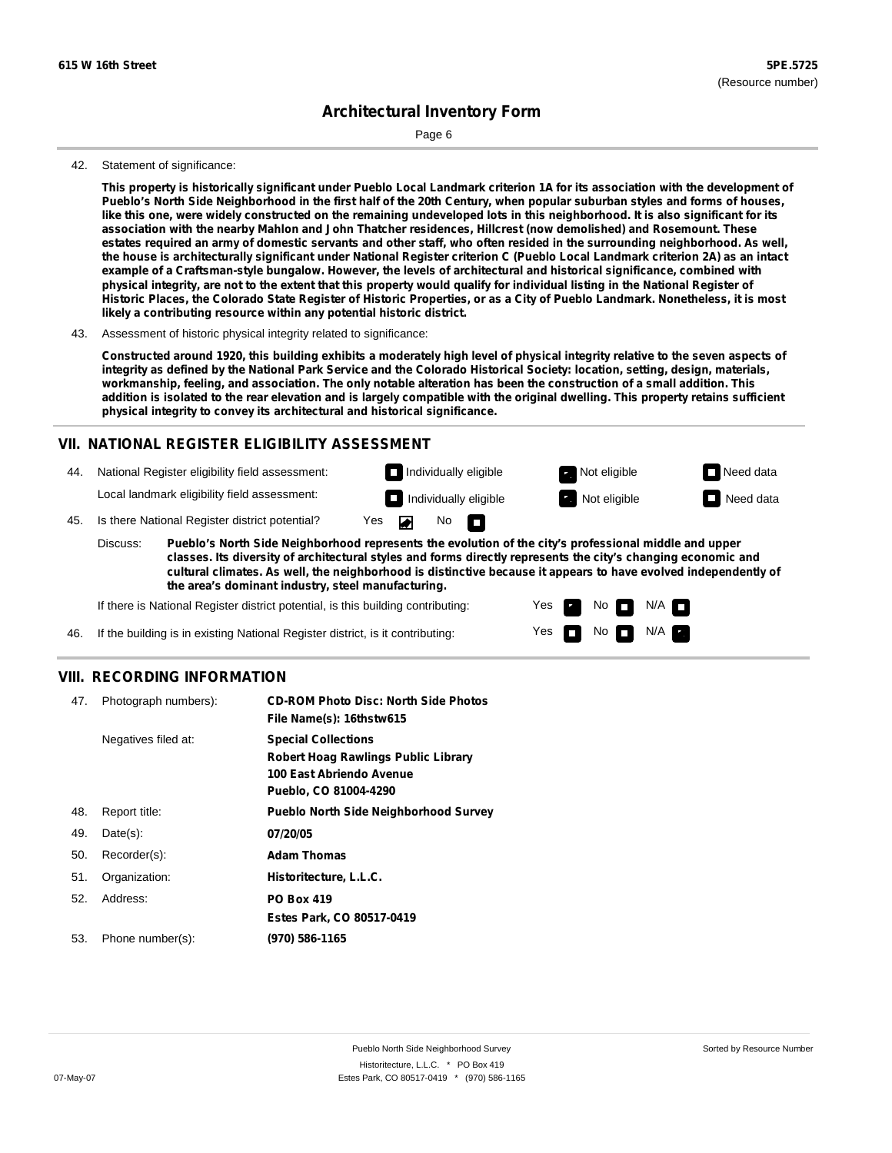Page 6

### 42. Statement of significance:

This property is historically significant under Pueblo Local Landmark criterion 1A for its association with the development of Pueblo's North Side Neighborhood in the first half of the 20th Century, when popular suburban styles and forms of houses, like this one, were widely constructed on the remaining undeveloped lots in this neighborhood. It is also significant for its **association with the nearby Mahlon and John Thatcher residences, Hillcrest (now demolished) and Rosemount. These** estates required an army of domestic servants and other staff, who often resided in the surrounding neighborhood. As well, the house is architecturally significant under National Register criterion C (Pueblo Local Landmark criterion 2A) as an intact **example of a Craftsman-style bungalow. However, the levels of architectural and historical significance, combined with** physical integrity, are not to the extent that this property would qualify for individual listing in the National Register of Historic Places, the Colorado State Register of Historic Properties, or as a City of Pueblo Landmark. Nonetheless, it is most **likely a contributing resource within any potential historic district.**

Constructed around 1920, this building exhibits a moderately high level of physical integrity relative to the seven aspects of integrity as defined by the National Park Service and the Colorado Historical Society: location, setting, design, materials, workmanship, feeling, and association. The only notable alteration has been the construction of a small addition. This addition is isolated to the rear elevation and is largely compatible with the original dwelling. This property retains sufficient **physical integrity to convey its architectural and historical significance.**

### **VII. NATIONAL REGISTER ELIGIBILITY ASSESSMENT**



**Pueblo's North Side Neighborhood represents the evolution of the city's professional middle and upper classes. Its diversity of architectural styles and forms directly represents the city's changing economic and cultural climates. As well, the neighborhood is distinctive because it appears to have evolved independently of the area's dominant industry, steel manufacturing.**

> Yes Yes

No **D** N/A  $N$  No  $N/A$   $\blacksquare$ 

If there is National Register district potential, is this building contributing:

If the building is in existing National Register district, is it contributing: 46.

### **VIII. RECORDING INFORMATION**

| 47. | Photograph numbers): | <b>CD-ROM Photo Disc: North Side Photos</b><br>File Name(s): 16thstw615                                                       |
|-----|----------------------|-------------------------------------------------------------------------------------------------------------------------------|
|     | Negatives filed at:  | <b>Special Collections</b><br><b>Robert Hoag Rawlings Public Library</b><br>100 East Abriendo Avenue<br>Pueblo, CO 81004-4290 |
| 48. | Report title:        | <b>Pueblo North Side Neighborhood Survey</b>                                                                                  |
| 49. | $Date(s)$ :          | 07/20/05                                                                                                                      |
| 50. | Recorder(s):         | <b>Adam Thomas</b>                                                                                                            |
| 51. | Organization:        | Historitecture, L.L.C.                                                                                                        |
| 52. | Address:             | <b>PO Box 419</b>                                                                                                             |
|     |                      | Estes Park, CO 80517-0419                                                                                                     |
| 53. | Phone number(s):     | (970) 586-1165                                                                                                                |

<sup>43.</sup> Assessment of historic physical integrity related to significance: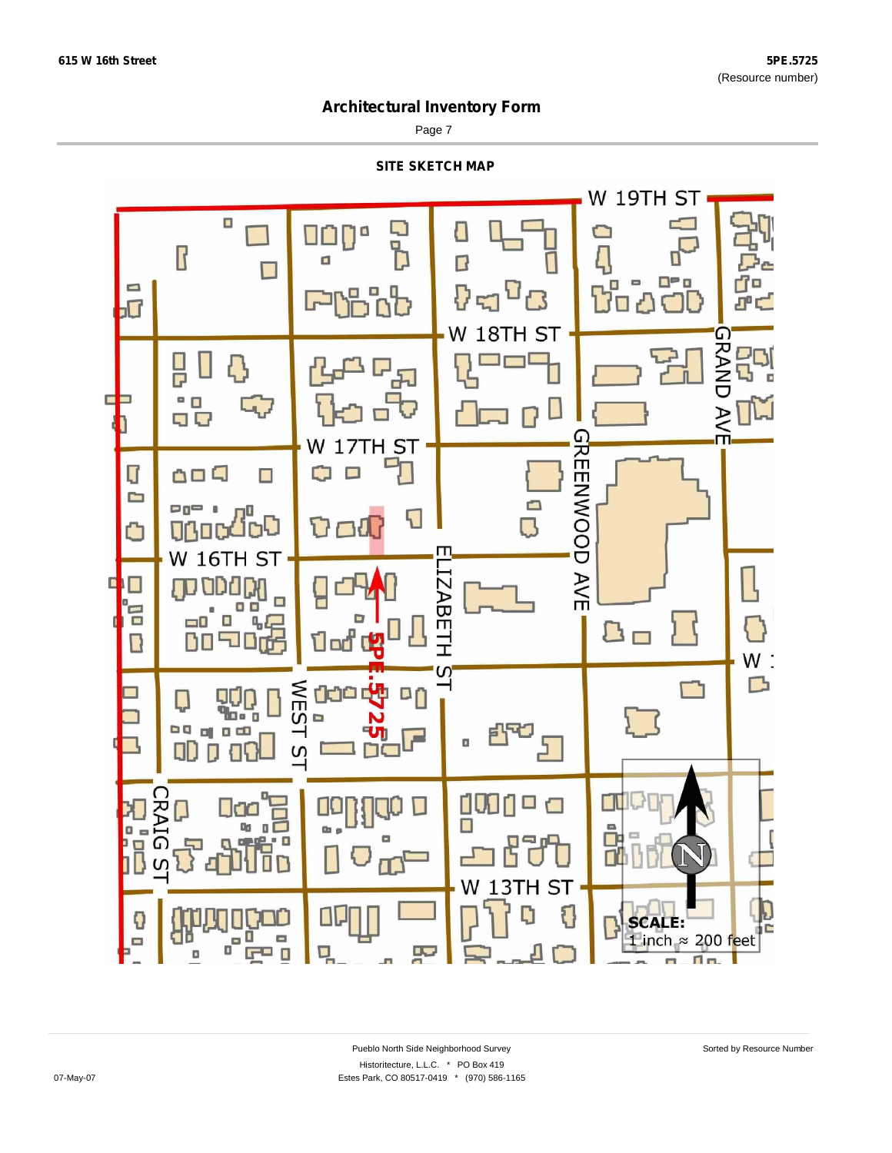Page 7